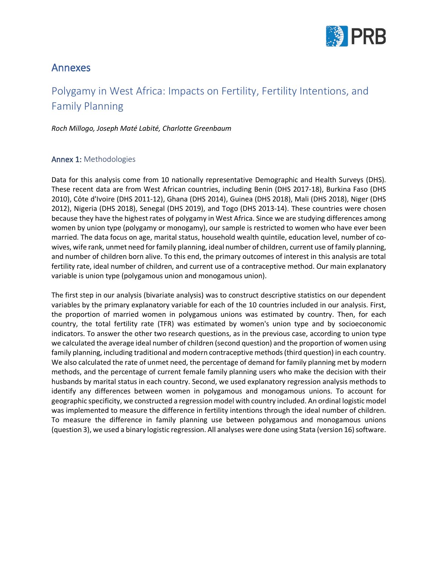

## Annexes

## Polygamy in West Africa: Impacts on Fertility, Fertility Intentions, and Family Planning

*Roch Millogo, Joseph Maté Labité, Charlotte Greenbaum*

## Annex 1: Methodologies

Data for this analysis come from 10 nationally representative Demographic and Health Surveys (DHS). These recent data are from West African countries, including Benin (DHS 2017-18), Burkina Faso (DHS 2010), Côte d'Ivoire (DHS 2011-12), Ghana (DHS 2014), Guinea (DHS 2018), Mali (DHS 2018), Niger (DHS 2012), Nigeria (DHS 2018), Senegal (DHS 2019), and Togo (DHS 2013-14). These countries were chosen because they have the highest rates of polygamy in West Africa. Since we are studying differences among women by union type (polygamy or monogamy), our sample is restricted to women who have ever been married. The data focus on age, marital status, household wealth quintile, education level, number of cowives, wife rank, unmet need for family planning, ideal number of children, current use of family planning, and number of children born alive. To this end, the primary outcomes of interest in this analysis are total fertility rate, ideal number of children, and current use of a contraceptive method. Our main explanatory variable is union type (polygamous union and monogamous union).

The first step in our analysis (bivariate analysis) was to construct descriptive statistics on our dependent variables by the primary explanatory variable for each of the 10 countries included in our analysis. First, the proportion of married women in polygamous unions was estimated by country. Then, for each country, the total fertility rate (TFR) was estimated by women's union type and by socioeconomic indicators. To answer the other two research questions, as in the previous case, according to union type we calculated the average ideal number of children (second question) and the proportion of women using family planning, including traditional and modern contraceptive methods (third question) in each country. We also calculated the rate of unmet need, the percentage of demand for family planning met by modern methods, and the percentage of current female family planning users who make the decision with their husbands by marital status in each country. Second, we used explanatory regression analysis methods to identify any differences between women in polygamous and monogamous unions. To account for geographic specificity, we constructed a regression model with country included. An ordinal logistic model was implemented to measure the difference in fertility intentions through the ideal number of children. To measure the difference in family planning use between polygamous and monogamous unions (question 3), we used a binary logistic regression. All analyses were done using Stata (version 16) software.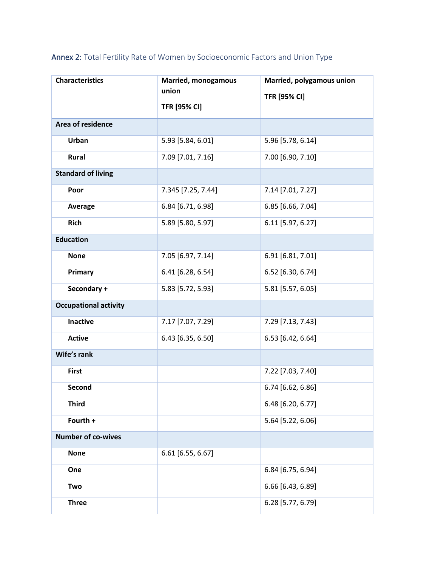| <b>Characteristics</b>       | <b>Married, monogamous</b> | Married, polygamous union |
|------------------------------|----------------------------|---------------------------|
|                              | union                      | <b>TFR [95% CI]</b>       |
|                              | <b>TFR [95% CI]</b>        |                           |
| Area of residence            |                            |                           |
| Urban                        | 5.93 [5.84, 6.01]          | 5.96 [5.78, 6.14]         |
| Rural                        | 7.09 [7.01, 7.16]          | 7.00 [6.90, 7.10]         |
| <b>Standard of living</b>    |                            |                           |
| Poor                         | 7.345 [7.25, 7.44]         | 7.14 [7.01, 7.27]         |
| <b>Average</b>               | 6.84 [6.71, 6.98]          | 6.85 [6.66, 7.04]         |
| <b>Rich</b>                  | 5.89 [5.80, 5.97]          | 6.11 [5.97, 6.27]         |
| <b>Education</b>             |                            |                           |
| <b>None</b>                  | 7.05 [6.97, 7.14]          | 6.91 [6.81, 7.01]         |
| Primary                      | 6.41 [6.28, 6.54]          | 6.52 [6.30, 6.74]         |
| Secondary +                  | 5.83 [5.72, 5.93]          | 5.81 [5.57, 6.05]         |
| <b>Occupational activity</b> |                            |                           |
| <b>Inactive</b>              | 7.17 [7.07, 7.29]          | 7.29 [7.13, 7.43]         |
| <b>Active</b>                | 6.43 [6.35, 6.50]          | 6.53 [6.42, 6.64]         |
| Wife's rank                  |                            |                           |
| <b>First</b>                 |                            | 7.22 [7.03, 7.40]         |
| <b>Second</b>                |                            | 6.74 [6.62, 6.86]         |
| <b>Third</b>                 |                            | 6.48 [6.20, 6.77]         |
| Fourth +                     |                            | 5.64 [5.22, 6.06]         |
| <b>Number of co-wives</b>    |                            |                           |
| <b>None</b>                  | 6.61 [6.55, 6.67]          |                           |
| One                          |                            | 6.84 [6.75, 6.94]         |
| Two                          |                            | 6.66 [6.43, 6.89]         |
| <b>Three</b>                 |                            | 6.28 [5.77, 6.79]         |

Annex 2: Total Fertility Rate of Women by Socioeconomic Factors and Union Type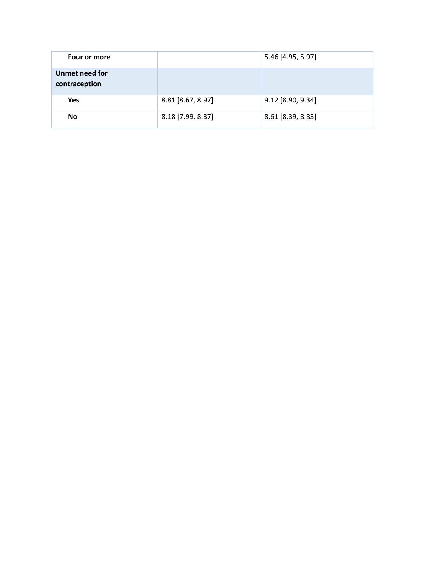| Four or more                    |                   | 5.46 [4.95, 5.97] |
|---------------------------------|-------------------|-------------------|
| Unmet need for<br>contraception |                   |                   |
| <b>Yes</b>                      | 8.81 [8.67, 8.97] | 9.12 [8.90, 9.34] |
| <b>No</b>                       | 8.18 [7.99, 8.37] | 8.61 [8.39, 8.83] |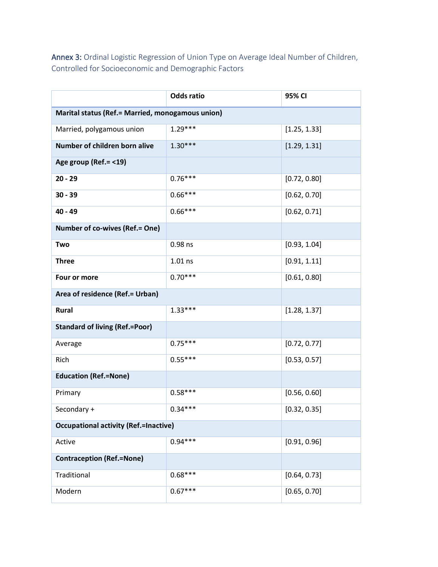Annex 3: Ordinal Logistic Regression of Union Type on Average Ideal Number of Children, Controlled for Socioeconomic and Demographic Factors

|                                                  | <b>Odds ratio</b> | 95% CI       |  |
|--------------------------------------------------|-------------------|--------------|--|
| Marital status (Ref.= Married, monogamous union) |                   |              |  |
| Married, polygamous union                        | $1.29***$         | [1.25, 1.33] |  |
| Number of children born alive                    | $1.30***$         | [1.29, 1.31] |  |
| Age group (Ref. = < 19)                          |                   |              |  |
| $20 - 29$                                        | $0.76***$         | [0.72, 0.80] |  |
| $30 - 39$                                        | $0.66***$         | [0.62, 0.70] |  |
| $40 - 49$                                        | $0.66***$         | [0.62, 0.71] |  |
| <b>Number of co-wives (Ref.= One)</b>            |                   |              |  |
| Two                                              | 0.98 ns           | [0.93, 1.04] |  |
| <b>Three</b>                                     | $1.01$ ns         | [0.91, 1.11] |  |
| Four or more                                     | $0.70***$         | [0.61, 0.80] |  |
| Area of residence (Ref.= Urban)                  |                   |              |  |
| Rural                                            | $1.33***$         | [1.28, 1.37] |  |
| <b>Standard of living (Ref.=Poor)</b>            |                   |              |  |
| Average                                          | $0.75***$         | [0.72, 0.77] |  |
| Rich                                             | $0.55***$         | [0.53, 0.57] |  |
| <b>Education (Ref.=None)</b>                     |                   |              |  |
| Primary                                          | $0.58***$         | [0.56, 0.60] |  |
| Secondary +                                      | $0.34***$         | [0.32, 0.35] |  |
| <b>Occupational activity (Ref.=Inactive)</b>     |                   |              |  |
| Active                                           | $0.94***$         | [0.91, 0.96] |  |
| <b>Contraception (Ref.=None)</b>                 |                   |              |  |
| Traditional                                      | $0.68***$         | [0.64, 0.73] |  |
| Modern                                           | $0.67***$         | [0.65, 0.70] |  |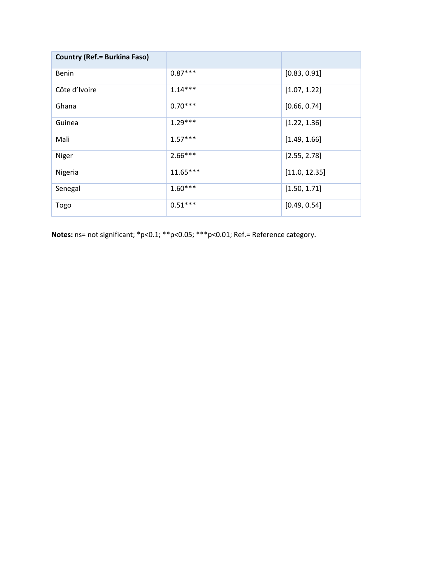| <b>Country (Ref. = Burkina Faso)</b> |            |               |
|--------------------------------------|------------|---------------|
| <b>Benin</b>                         | $0.87***$  | [0.83, 0.91]  |
| Côte d'Ivoire                        | $1.14***$  | [1.07, 1.22]  |
| Ghana                                | $0.70***$  | [0.66, 0.74]  |
| Guinea                               | $1.29***$  | [1.22, 1.36]  |
| Mali                                 | $1.57***$  | [1.49, 1.66]  |
| Niger                                | $2.66***$  | [2.55, 2.78]  |
| Nigeria                              | $11.65***$ | [11.0, 12.35] |
| Senegal                              | $1.60***$  | [1.50, 1.71]  |
| Togo                                 | $0.51***$  | [0.49, 0.54]  |

Notes: ns= not significant; \*p<0.1; \*\*p<0.05; \*\*\*p<0.01; Ref.= Reference category.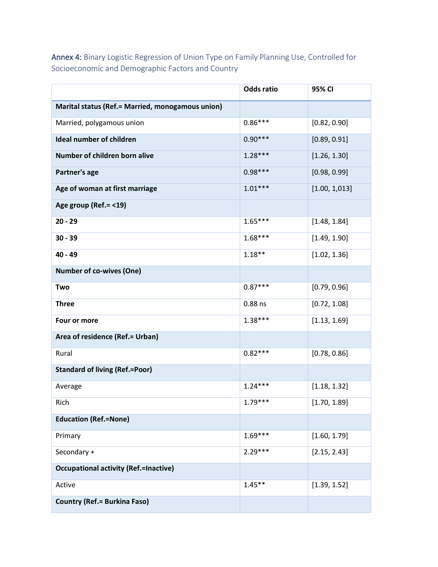Annex 4: Binary Logistic Regression of Union Type on Family Planning Use, Controlled for Socioeconomic and Demographic Factors and Country

|                                                  | <b>Odds ratio</b> | 95% CI        |
|--------------------------------------------------|-------------------|---------------|
| Marital status (Ref.= Married, monogamous union) |                   |               |
| Married, polygamous union                        | $0.86***$         | [0.82, 0.90]  |
| <b>Ideal number of children</b>                  | $0.90***$         | [0.89, 0.91]  |
| Number of children born alive                    | $1.28***$         | [1.26, 1.30]  |
| Partner's age                                    | $0.98***$         | [0.98, 0.99]  |
| Age of woman at first marriage                   | $1.01***$         | [1.00, 1.013] |
| Age group (Ref. = < 19)                          |                   |               |
| $20 - 29$                                        | $1.65***$         | [1.48, 1.84]  |
| $30 - 39$                                        | $1.68***$         | [1.49, 1.90]  |
| 40 - 49                                          | $1.18**$          | [1.02, 1.36]  |
| <b>Number of co-wives (One)</b>                  |                   |               |
| Two                                              | $0.87***$         | [0.79, 0.96]  |
| <b>Three</b>                                     | $0.88$ ns         | [0.72, 1.08]  |
| Four or more                                     | $1.38***$         | [1.13, 1.69]  |
| Area of residence (Ref.= Urban)                  |                   |               |
| Rural                                            | $0.82***$         | [0.78, 0.86]  |
| <b>Standard of living (Ref.=Poor)</b>            |                   |               |
| Average                                          | $1.24***$         | [1.18, 1.32]  |
| Rich                                             | $1.79***$         | [1.70, 1.89]  |
| <b>Education (Ref.=None)</b>                     |                   |               |
| Primary                                          | $1.69***$         | [1.60, 1.79]  |
| Secondary +                                      | $2.29***$         | [2.15, 2.43]  |
| <b>Occupational activity (Ref.=Inactive)</b>     |                   |               |
| Active                                           | $1.45**$          | [1.39, 1.52]  |
| <b>Country (Ref.= Burkina Faso)</b>              |                   |               |